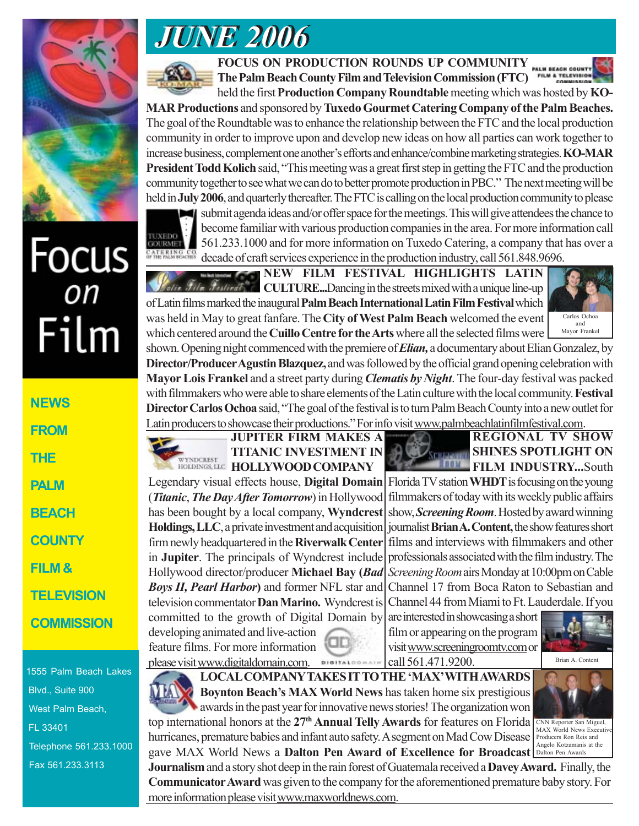

# Focus<br><sub>on</sub> Film

**NEWS FROM THE PALM BEACH COUNTY FILM & TELEVISION COMMISSION**

1555 Palm Beach Lakes Blvd., Suite 900 West Palm Beach, FL 33401 Telephone 561.233.1000 Fax 561.233.3113

## *JUNE 2006 JUNE 2006*



**FOCUS ON PRODUCTION ROUNDS UP COMMUNITY**

The Palm Beach County Film and Television Commission (FTC)

held the first **Production Company Roundtable** meeting which was hosted by **KO-MAR Productions** and sponsored by **Tuxedo Gourmet Catering Company of the Palm Beaches.** The goal of the Roundtable was to enhance the relationship between the FTC and the local production community in order to improve upon and develop new ideas on how all parties can work together to increase business, complement one another's efforts and enhance/combine marketing strategies. **KO-MAR President Todd Kolich** said, "This meeting was a great first step in getting the FTC and the production community together to see what we can do to better promote production in PBC." The next meeting will be held in **July 2006**, and quarterly thereafter. The FTC is calling on the local production community to please

TUXEDO **GOURMET** 

submit agenda ideas and/or offer space for the meetings. This will give attendees the chance to become familiar with various production companies in the area. For more information call 561.233.1000 and for more information on Tuxedo Catering, a company that has over a decade of craft services experience in the production industry, call 561.848.9696.

**NEW FILM FESTIVAL HIGHLIGHTS LATIN** *Pestival* **CULTURE...**Dancing in the streets mixed with a unique line-up of Latin films marked the inaugural **Palm Beach International Latin Film Festival** which was held in May to great fanfare. The **City of West Palm Beach** welcomed the event which centered around the **Cuillo Centre for the Arts** where all the selected films were



shown. Opening night commenced with the premiere of *Elian,* a documentary about Elian Gonzalez, by **Director/Producer Agustin Blazquez,** and was followed by the official grand opening celebration with **Mayor Lois Frankel** and a street party during *Clematis by Night*. The four-day festival was packed with filmmakers who were able to share elements of the Latin culture with the local community. **Festival Director Carlos Ochoa** said, "The goal of the festival is to turn Palm Beach County into a new outlet for Latin producers to showcase their productions." For info visit www.palmbeachlatinfilmfestival.com.

### **JUPITER FIRM MAKES A TITANIC INVESTMENT IN** WYNDCREST HOLLYWOOD COMPANY

Legendary visual effects house, **Digital Domain** (*Titanic*,*The Day After Tomorrow*) in Hollywood has been bought by a local company, **Wyndcrest Holdings, LLC**, a private investment and acquisition firm newly headquartered in the **Riverwalk Center** in **Jupiter**. The principals of Wyndcrest include Hollywood director/producer **Michael Bay (***Bad Boys II, Pearl Harbor***)** and former NFL star and television commentator **Dan Marino.** Wyndcrest is committed to the growth of Digital Domain by developing animated and live-action

feature films. For more information please visit www.digitaldomain.com.



**REGIONAL TV SHOW SHINES SPOTLIGHT ON LOM FILM INDUSTRY...**South

Florida TV station **WHDT** is focusing on the young filmmakers of today with its weekly public affairs show, *Screening Room*. Hosted by award winning journalist **Brian A. Content,** the show features short films and interviews with filmmakers and other professionals associated with the film industry. The *Screening Room* airs Monday at 10:00pm on Cable Channel 17 from Boca Raton to Sebastian and Channel 44 from Miami to Ft. Lauderdale. If you

are interested in showcasing a short film or appearing on the program visit www.screeningroomtv.com or call 561.471.9200.



Brian A. Content



**LOCAL COMPANY TAKES IT TO THE 'MAX' WITH AWARDS Boynton Beach's MAX World News** has taken home six prestigious awards in the past year for innovative news stories! The organization won

top international honors at the 27<sup>th</sup> Annual Telly Awards for features on Florida CNN Reporter San Miguel, hurricanes, premature babies and infant auto safety. A segment on Mad Cow Disease gave MAX World News a **Dalton Pen Award of Excellence for Broadcast** MAX World News Executive Producers Ron Reis and

**Journalism** and a story shot deep in the rain forest of Guatemala received a **Davey Award.** Finally, the **Communicator Award** was given to the company for the aforementioned premature baby story. For more information please visit www.maxworldnews.com. Angelo Kotzamanis at the Dalton Pen Awards